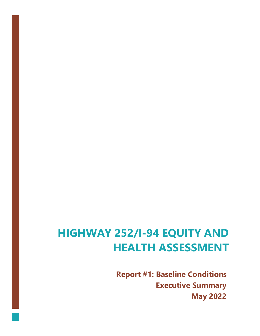# **HIGHWAY 252/I-94 EQUITY AND HEALTH ASSESSMENT**

**Report #1: Baseline Conditions Executive Summary May 2022**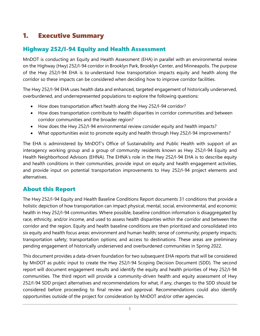## 1. Executive Summary

## Highway 252/I-94 Equity and Health Assessment

MnDOT is conducting an Equity and Health Assessment (EHA) in parallel with an environmental review on the Highway (Hwy) 252/I-94 corridor in Brooklyn Park, Brooklyn Center, and Minneapolis. The purpose of the Hwy 252/I-94 EHA is to understand how transportation impacts equity and health along the corridor so these impacts can be considered when deciding how to improve corridor facilities.

The Hwy 252/I-94 EHA uses health data and enhanced, targeted engagement of historically underserved, overburdened, and underrepresented populations to explore the following questions:

- How does transportation affect health along the Hwy 252/I-94 corridor?
- How does transportation contribute to health disparities in corridor communities and between corridor communities and the broader region?
- How does the Hwy 252/I-94 environmental review consider equity and health impacts?
- What opportunities exist to promote equity and health through Hwy 252/I-94 improvements?

The EHA is administered by MnDOT's Office of Sustainability and Public Health with support of an interagency working group and a group of community residents known as Hwy 252/I-94 Equity and Health Neighborhood Advisors (EHNA). The EHNA's role in the Hwy 252/I-94 EHA is to describe equity and health conditions in their communities, provide input on equity and health engagement activities, and provide input on potential transportation improvements to Hwy 252/I-94 project elements and alternatives.

### About this Report

The Hwy 252/I-94 Equity and Health Baseline Conditions Report documents 31 conditions that provide a holistic depiction of how transportation can impact physical, mental, social, environmental, and economic health in Hwy 252/I-94 communities. Where possible, baseline condition information is disaggregated by race, ethnicity, and/or income, and used to assess health disparities within the corridor and between the corridor and the region. Equity and health baseline conditions are then prioritized and consolidated into six equity and health focus areas: environment and human health; sense of community; property impacts; transportation safety; transportation options; and access to destinations. These areas are preliminary pending engagement of historically underserved and overburdened communities in Spring 2022.

This document provides a data-driven foundation for two subsequent EHA reports that will be considered by MnDOT as public input to create the Hwy 252/I-94 Scoping Decision Document (SDD). The second report will document engagement results and identify the equity and health priorities of Hwy 252/I-94 communities. The third report will provide a community-driven health and equity assessment of Hwy 252/I-94 SDD project alternatives and recommendations for what, if any, changes to the SDD should be considered before proceeding to final review and approval. Recommendations could also identify opportunities outside of the project for consideration by MnDOT and/or other agencies.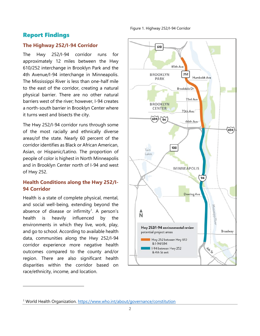Figure 1. Highway 252/I-94 Corridor

#### Report Findings

#### **The Highway 252/I-94 Corridor**

The Hwy 252/I-94 corridor runs for approximately 12 miles between the Hwy 610/252 interchange in Brooklyn Park and the 4th Avenue/I-94 interchange in Minneapolis. The Mississippi River is less than one-half mile to the east of the corridor, creating a natural physical barrier. There are no other natural barriers west of the river; however, I-94 creates a north-south barrier in Brooklyn Center where it turns west and bisects the city.

The Hwy 252/I-94 corridor runs through some of the most racially and ethnically diverse areas/of the state. Nearly 60 percent of the corridor identifies as Black or African American, Asian, or Hispanic/Latino. The proportion of people of color is highest in North Minneapolis and in Brooklyn Center north of I-94 and west of Hwy 252.

#### **Health Conditions along the Hwy 252/I-94 Corridor**

Health is a state of complete physical, mental, and social well-being, extending beyond the absence of disease or infirmity<sup>[1](#page-2-0)</sup>. A person's health is heavily influenced by the environments in which they live, work, play, and go to school. According to available health data, communities along the Hwy 252/I-94 corridor experience more negative health outcomes compared to the county and/or region. There are also significant health disparities within the corridor based on race/ethnicity, income, and location.



<span id="page-2-0"></span><sup>1</sup> World Health Organization.<https://www.who.int/about/governance/constitution>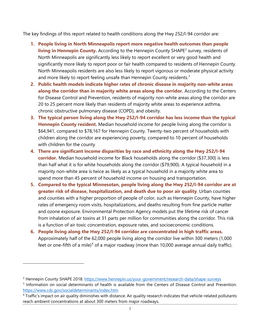The key findings of this report related to health conditions along the Hwy 252/I-94 corridor are:

- **1. People living in North Minneapolis report more negative health outcomes than people living in Hennepin County.** According to the Hennepin County SHAPE<sup>[2](#page-3-0)</sup> survey, residents of North Minneapolis are significantly less likely to report excellent or very good health and significantly more likely to report poor or fair health compared to residents of Hennepin County. North Minneapolis residents are also less likely to report vigorous or moderate physical activity and more likely to report feeling unsafe than Hennepin County residents.<sup>[3](#page-3-1)</sup>
- **2. Public health models indicate higher rates of chronic disease in majority non-white areas along the corridor than in majority white areas along the corridor.** According to the Centers for Disease Control and Prevention, residents of majority non-white areas along the corridor are 20 to 25 percent more likely than residents of majority white areas to experience asthma, chronic obstructive pulmonary disease (COPD), and obesity.
- **3. The typical person living along the Hwy 252/I-94 corridor has less income than the typical Hennepin County resident.** Median household income for people living along the corridor is \$64,941, compared to \$78,167 for Hennepin County. Twenty-two percent of households with children along the corridor are experiencing poverty, compared to 10 percent of households with children for the county
- **4. There are significant income disparities by race and ethnicity along the Hwy 252/I-94 corridor.** Median household income for Black households along the corridor (\$37,300) is less than half what it is for white households along the corridor (\$79,900). A typical household in a majority non-white area is twice as likely as a typical household in a majority white area to spend more than 45 percent of household income on housing and transportation.
- **5. Compared to the typical Minnesotan, people living along the Hwy 252/I-94 corridor are at greater risk of disease, hospitalization, and death due to poor air quality**. Urban counties and counties with a higher proportion of people of color, such as Hennepin County, have higher rates of emergency room visits, hospitalizations, and deaths resulting from fine particle matter and ozone exposure. Environmental Protection Agency models put the lifetime risk of cancer from inhalation of air toxins at 31 parts per million for communities along the corridor. This risk is a function of air toxic concentration, exposure rates, and socioeconomic conditions.
- **6. People living along the Hwy 252/I-94 corridor are concentrated in high traffic areas.** Approximately half of the 62,000 people living along the corridor live within 300 meters (1,000 feet or one-fifth of a mile)<sup>[4](#page-3-2)</sup> of a major roadway (more than 10,000 average annual daily traffic).

<span id="page-3-0"></span><sup>2</sup> Hennepin County SHAPE 2018.<https://www.hennepin.us/your-government/research-data/shape-surveys>

<span id="page-3-1"></span><sup>3</sup> Information on social determinants of health is available from the Centers of Disease Control and Prevention. <https://www.cdc.gov/socialdeterminants/index.htm>

<span id="page-3-2"></span><sup>4</sup> Traffic's impact on air quality diminishes with distance. Air quality research indicates that vehicle-related pollutants reach ambient concentrations at about 300 meters from major roadways.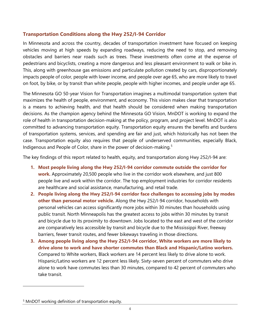#### **Transportation Conditions along the Hwy 252/I-94 Corridor**

In Minnesota and across the country, decades of transportation investment have focused on keeping vehicles moving at high speeds by expanding roadways, reducing the need to stop, and removing obstacles and barriers near roads such as trees. These investments often come at the expense of pedestrians and bicyclists, creating a more dangerous and less pleasant environment to walk or bike in. This, along with greenhouse gas emissions and particulate pollution created by cars, disproportionately impacts people of color, people with lower income, and people over age 65, who are more likely to travel on foot, by bike, or by transit than white people, people with higher incomes, and people under age 65.

The Minnesota GO 50-year Vision for Transportation imagines a multimodal transportation system that maximizes the health of people, environment, and economy. This vision makes clear that transportation is a means to achieving health, and that health should be considered when making transportation decisions. As the champion agency behind the Minnesota GO Vision, MnDOT is working to expand the role of health in transportation decision-making at the policy, program, and project level. MnDOT is also committed to advancing transportation equity. Transportation equity ensures the benefits and burdens of transportation systems, services, and spending are fair and just, which historically has not been the case. Transportation equity also requires that people of underserved communities, especially Black, Indigenous and People of Color, share in the power of decision-making.<sup>[5](#page-4-0)</sup>

The key findings of this report related to health, equity, and transportation along Hwy 252/I-94 are:

- **1. Most people living along the Hwy 252/I-94 corridor commute outside the corridor for work.** Approximately 20,500 people who live in the corridor work elsewhere, and just 800 people live and work within the corridor. The top employment industries for corridor residents are healthcare and social assistance, manufacturing, and retail trade.
- **2. People living along the Hwy 252/I-94 corridor face challenges to accessing jobs by modes other than personal motor vehicle.** Along the Hwy 252/I-94 corridor, households with personal vehicles can access significantly more jobs within 30 minutes than households using public transit. North Minneapolis has the greatest access to jobs within 30 minutes by transit and bicycle due to its proximity to downtown. Jobs located to the east and west of the corridor are comparatively less accessible by transit and bicycle due to the Mississippi River, freeway barriers, fewer transit routes, and fewer bikeways traveling in those directions.
- **3. Among people living along the Hwy 252/I-94 corridor, White workers are more likely to drive alone to work and have shorter commutes than Black and Hispanic/Latino workers.** Compared to White workers, Black workers are 14 percent less likely to drive alone to work. Hispanic/Latino workers are 12 percent less likely. Sixty-seven percent of commuters who drive alone to work have commutes less than 30 minutes, compared to 42 percent of commuters who take transit.

<span id="page-4-0"></span><sup>&</sup>lt;sup>5</sup> MnDOT working definition of transportation equity.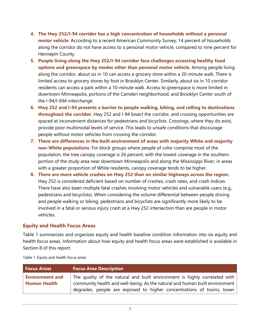- **4. The Hwy 252/I-94 corridor has a high concentration of households without a personal motor vehicle**. According to a recent American Community Survey, 14 percent of households along the corridor do not have access to a personal motor vehicle, compared to nine percent for Hennepin County.
- **5. People living along the Hwy 252/I-94 corridor face challenges accessing healthy food options and greenspace by modes other than personal motor vehicle.** Among people living along the corridor, about six in 10 can access a grocery store within a 20-minute walk. There is limited access to grocery stores by foot in Brooklyn Center. Similarly, about six in 10 corridor residents can access a park within a 10-minute walk. Access to greenspace is more limited in downtown Minneapolis, portions of the Camden neighborhood, and Brooklyn Center south of the I-94/I-694 interchange.
- **6. Hwy 252 and I-94 presents a barrier to people walking, biking, and rolling to destinations throughout the corridor.** Hwy 252 and I-94 bisect the corridor, and crossing opportunities are spaced at inconvenient distances for pedestrians and bicyclists. Crossings, where they do exist, provide poor multimodal levels of service. This leads to unsafe conditions that discourage people without motor vehicles from crossing the corridor.
- **7. There are differences in the built environment of areas with majority White and majority non-White populations**. For block groups where people of color comprise most of the population, the tree canopy coverage is 26 percent, with the lowest coverage in the southern portion of the study area near downtown Minneapolis and along the Mississippi River; in areas with a greater proportion of White residents, canopy coverage tends to be higher.
- **8. There are more vehicle crashes on Hwy 252 than on similar highways across the region.** Hwy 252 is considered deficient based on number of crashes, crash rates, and crash indices. There have also been multiple fatal crashes involving motor vehicles and vulnerable users (e.g., pedestrians and bicyclists). When considering the volume differential between people driving and people walking or biking, pedestrians and bicyclists are significantly more likely to be involved in a fatal or serious injury crash at a Hwy 252 intersection than are people in motor vehicles.

#### **Equity and Health Focus Areas**

Table 1 summarizes and organizes equity and health baseline condition information into six equity and health focus areas. Information about how equity and health focus areas were established is available in Section 8 of this report.

| <b>Focus Areas</b>                            | <b>Focus Area Description</b>                                                                                                                                                                                                       |
|-----------------------------------------------|-------------------------------------------------------------------------------------------------------------------------------------------------------------------------------------------------------------------------------------|
| <b>Environment and</b><br><b>Human Health</b> | The quality of the natural and built environment is highly correlated with<br>community health and well-being. As the natural and human built environment<br>degrades, people are exposed to higher concentrations of toxins, lower |

Table 1. Equity and health focus areas